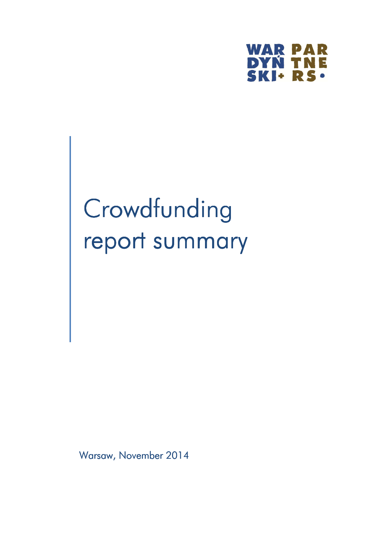

# Crowdfunding report summary

Warsaw, November 2014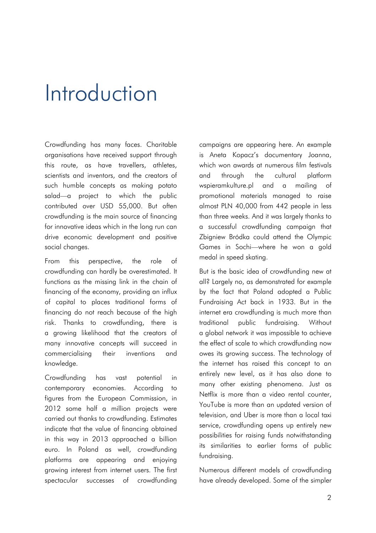#### Introduction

Crowdfunding has many faces. Charitable organisations have received support through this route, as have travellers, athletes, scientists and inventors, and the creators of such humble concepts as making potato salad—a project to which the public contributed over USD 55,000. But often crowdfunding is the main source of financing for innovative ideas which in the long run can drive economic development and positive social changes.

From this perspective, the role of crowdfunding can hardly be overestimated. It functions as the missing link in the chain of financing of the economy, providing an influx of capital to places traditional forms of financing do not reach because of the high risk. Thanks to crowdfunding, there is a growing likelihood that the creators of many innovative concepts will succeed in commercialising their inventions and knowledge.

Crowdfunding has vast potential in contemporary economies. According to figures from the European Commission, in 2012 some half a million projects were carried out thanks to crowdfunding. Estimates indicate that the value of financing obtained in this way in 2013 approached a billion euro. In Poland as well, crowdfunding platforms are appearing and enjoying growing interest from internet users. The first spectacular successes of crowdfunding campaigns are appearing here. An example is Aneta Kopacz's documentary Joanna, which won awards at numerous film festivals and through the cultural platform wspieramkulture.pl and a mailing of promotional materials managed to raise almost PLN 40,000 from 442 people in less than three weeks. And it was largely thanks to a successful crowdfunding campaign that Zbigniew Bródka could attend the Olympic Games in Sochi—where he won a gold medal in speed skating.

But is the basic idea of crowdfunding new at all? Largely no, as demonstrated for example by the fact that Poland adopted a Public Fundraising Act back in 1933. But in the internet era crowdfunding is much more than traditional public fundraising. Without a global network it was impossible to achieve the effect of scale to which crowdfunding now owes its growing success. The technology of the internet has raised this concept to an entirely new level, as it has also done to many other existing phenomena. Just as Netflix is more than a video rental counter, YouTube is more than an updated version of television, and Uber is more than a local taxi service, crowdfunding opens up entirely new possibilities for raising funds notwithstanding its similarities to earlier forms of public fundraising.

Numerous different models of crowdfunding have already developed. Some of the simpler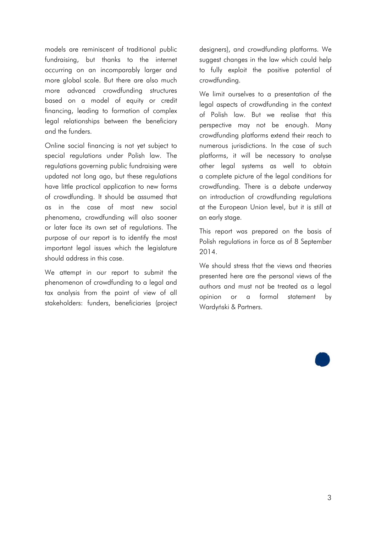models are reminiscent of traditional public fundraising, but thanks to the internet occurring on an incomparably larger and more global scale. But there are also much more advanced crowdfunding structures based on a model of equity or credit financing, leading to formation of complex legal relationships between the beneficiary and the funders.

Online social financing is not yet subject to special regulations under Polish law. The regulations governing public fundraising were updated not long ago, but these regulations have little practical application to new forms of crowdfunding. It should be assumed that as in the case of most new social phenomena, crowdfunding will also sooner or later face its own set of regulations. The purpose of our report is to identify the most important legal issues which the legislature should address in this case.

We attempt in our report to submit the phenomenon of crowdfunding to a legal and tax analysis from the point of view of all stakeholders: funders, beneficiaries (project

designers), and crowdfunding platforms. We suggest changes in the law which could help to fully exploit the positive potential of crowdfunding.

We limit ourselves to a presentation of the legal aspects of crowdfunding in the context of Polish law. But we realise that this perspective may not be enough. Many crowdfunding platforms extend their reach to numerous jurisdictions. In the case of such platforms, it will be necessary to analyse other legal systems as well to obtain a complete picture of the legal conditions for crowdfunding. There is a debate underway on introduction of crowdfunding regulations at the European Union level, but it is still at an early stage.

This report was prepared on the basis of Polish regulations in force as of 8 September 2014.

We should stress that the views and theories presented here are the personal views of the authors and must not be treated as a legal opinion or a formal statement by Wardyński & Partners.

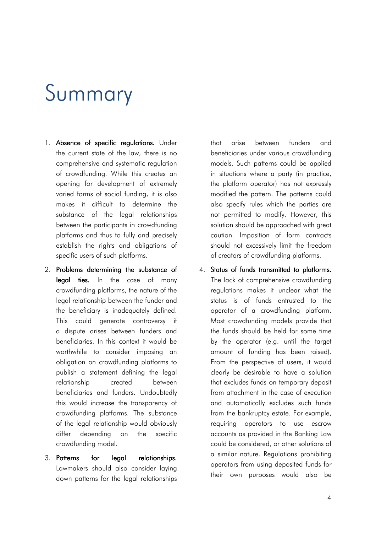#### Summary

- 1. Absence of specific regulations. Under the current state of the law, there is no comprehensive and systematic regulation of crowdfunding. While this creates an opening for development of extremely varied forms of social funding, it is also makes it difficult to determine the substance of the legal relationships between the participants in crowdfunding platforms and thus to fully and precisely establish the rights and obligations of specific users of such platforms.
- 2. Problems determining the substance of legal ties. In the case of many crowdfunding platforms, the nature of the legal relationship between the funder and the beneficiary is inadequately defined. This could generate controversy if a dispute arises between funders and beneficiaries. In this context it would be worthwhile to consider imposing an obligation on crowdfunding platforms to publish a statement defining the legal relationship created between beneficiaries and funders. Undoubtedly this would increase the transparency of crowdfunding platforms. The substance of the legal relationship would obviously differ depending on the specific crowdfunding model.
- 3. Patterns for legal relationships. Lawmakers should also consider laying down patterns for the legal relationships

that arise between funders and beneficiaries under various crowdfunding models. Such patterns could be applied in situations where a party (in practice, the platform operator) has not expressly modified the pattern. The patterns could also specify rules which the parties are not permitted to modify. However, this solution should be approached with great caution. Imposition of form contracts should not excessively limit the freedom of creators of crowdfunding platforms.

4. Status of funds transmitted to platforms. The lack of comprehensive crowdfunding regulations makes it unclear what the status is of funds entrusted to the operator of a crowdfunding platform. Most crowdfunding models provide that the funds should be held for some time by the operator (e.g. until the target amount of funding has been raised). From the perspective of users, it would clearly be desirable to have a solution that excludes funds on temporary deposit from attachment in the case of execution and automatically excludes such funds from the bankruptcy estate. For example, requiring operators to use escrow accounts as provided in the Banking Law could be considered, or other solutions of a similar nature. Regulations prohibiting operators from using deposited funds for their own purposes would also be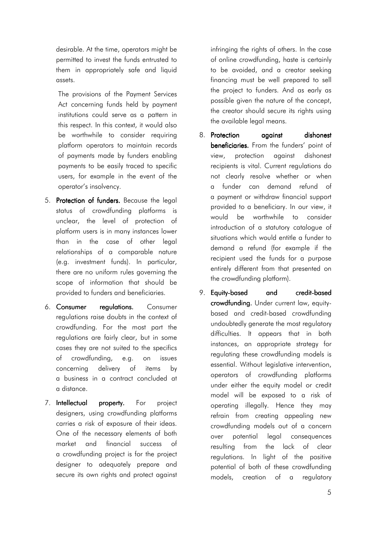desirable. At the time, operators might be permitted to invest the funds entrusted to them in appropriately safe and liquid assets.

The provisions of the Payment Services Act concerning funds held by payment institutions could serve as a pattern in this respect. In this context, it would also be worthwhile to consider requiring platform operators to maintain records of payments made by funders enabling payments to be easily traced to specific users, for example in the event of the operator's insolvency.

- 5. Protection of funders. Because the legal status of crowdfunding platforms is unclear, the level of protection of platform users is in many instances lower than in the case of other legal relationships of a comparable nature (e.g. investment funds). In particular, there are no uniform rules governing the scope of information that should be provided to funders and beneficiaries.
- 6. Consumer regulations. Consumer regulations raise doubts in the context of crowdfunding. For the most part the regulations are fairly clear, but in some cases they are not suited to the specifics of crowdfunding, e.g. on issues concerning delivery of items by a business in a contract concluded at a distance.
- 7. **Intellectual property.** For project designers, using crowdfunding platforms carries a risk of exposure of their ideas. One of the necessary elements of both market and financial success of a crowdfunding project is for the project designer to adequately prepare and secure its own rights and protect against

infringing the rights of others. In the case of online crowdfunding, haste is certainly to be avoided, and a creator seeking financing must be well prepared to sell the project to funders. And as early as possible given the nature of the concept, the creator should secure its rights using the available legal means.

- 8. Protection against dishonest beneficiaries. From the funders' point of view, protection against dishonest recipients is vital. Current regulations do not clearly resolve whether or when a funder can demand refund of a payment or withdraw financial support provided to a beneficiary. In our view, it would be worthwhile to consider introduction of a statutory catalogue of situations which would entitle a funder to demand a refund (for example if the recipient used the funds for a purpose entirely different from that presented on the crowdfunding platform).
- 9. Equity-based and credit-based crowdfunding. Under current law, equitybased and credit-based crowdfunding undoubtedly generate the most regulatory difficulties. It appears that in both instances, an appropriate strategy for regulating these crowdfunding models is essential. Without legislative intervention, operators of crowdfunding platforms under either the equity model or credit model will be exposed to a risk of operating illegally. Hence they may refrain from creating appealing new crowdfunding models out of a concern over potential legal consequences resulting from the lack of clear regulations. In light of the positive potential of both of these crowdfunding models, creation of a regulatory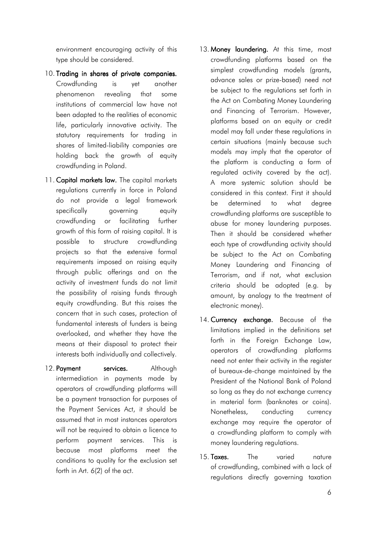environment encouraging activity of this type should be considered.

- 10. Trading in shares of private companies. Crowdfunding is yet another phenomenon revealing that some institutions of commercial law have not been adapted to the realities of economic life, particularly innovative activity. The statutory requirements for trading in shares of limited-liability companies are holding back the growth of equity crowdfunding in Poland.
- 11. Capital markets law. The capital markets regulations currently in force in Poland do not provide a legal framework specifically governing equity crowdfunding or facilitating further growth of this form of raising capital. It is possible to structure crowdfunding projects so that the extensive formal requirements imposed on raising equity through public offerings and on the activity of investment funds do not limit the possibility of raising funds through equity crowdfunding. But this raises the concern that in such cases, protection of fundamental interests of funders is being overlooked, and whether they have the means at their disposal to protect their interests both individually and collectively.
- 12. Payment services. Although intermediation in payments made by operators of crowdfunding platforms will be a payment transaction for purposes of the Payment Services Act, it should be assumed that in most instances operators will not be required to obtain a licence to perform payment services. This is because most platforms meet the conditions to quality for the exclusion set forth in Art. 6(2) of the act.
- 13. Money laundering. At this time, most crowdfunding platforms based on the simplest crowdfunding models (grants, advance sales or prize-based) need not be subject to the regulations set forth in the Act on Combating Money Laundering and Financing of Terrorism. However, platforms based on an equity or credit model may fall under these regulations in certain situations (mainly because such models may imply that the operator of the platform is conducting a form of regulated activity covered by the act). A more systemic solution should be considered in this context. First it should be determined to what degree crowdfunding platforms are susceptible to abuse for money laundering purposes. Then it should be considered whether each type of crowdfunding activity should be subject to the Act on Combating Money Laundering and Financing of Terrorism, and if not, what exclusion criteria should be adopted (e.g. by amount, by analogy to the treatment of electronic money).
- 14. Currency exchange. Because of the limitations implied in the definitions set forth in the Foreign Exchange Law, operators of crowdfunding platforms need not enter their activity in the register of bureaux-de-change maintained by the President of the National Bank of Poland so long as they do not exchange currency in material form (banknotes or coins). Nonetheless, conducting currency exchange may require the operator of a crowdfunding platform to comply with money laundering regulations.
- 15. Taxes. The varied nature of crowdfunding, combined with a lack of regulations directly governing taxation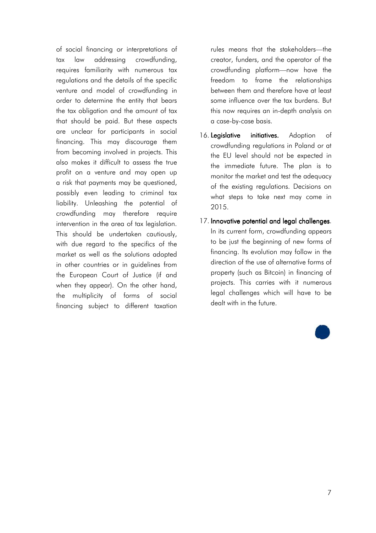of social financing or interpretations of tax law addressing crowdfunding, requires familiarity with numerous tax regulations and the details of the specific venture and model of crowdfunding in order to determine the entity that bears the tax obligation and the amount of tax that should be paid. But these aspects are unclear for participants in social financing. This may discourage them from becoming involved in projects. This also makes it difficult to assess the true profit on a venture and may open up a risk that payments may be questioned, possibly even leading to criminal tax liability. Unleashing the potential of crowdfunding may therefore require intervention in the area of tax legislation. This should be undertaken cautiously, with due regard to the specifics of the market as well as the solutions adopted in other countries or in guidelines from the European Court of Justice (if and when they appear). On the other hand, the multiplicity of forms of social financing subject to different taxation

rules means that the stakeholders—the creator, funders, and the operator of the crowdfunding platform—now have the freedom to frame the relationships between them and therefore have at least some influence over the tax burdens. But this now requires an in-depth analysis on a case-by-case basis.

- 16. Legislative initiatives. Adoption of crowdfunding regulations in Poland or at the EU level should not be expected in the immediate future. The plan is to monitor the market and test the adequacy of the existing regulations. Decisions on what steps to take next may come in 2015.
- 17. Innovative potential and legal challenges. In its current form, crowdfunding appears to be just the beginning of new forms of financing. Its evolution may follow in the direction of the use of alternative forms of property (such as Bitcoin) in financing of projects. This carries with it numerous legal challenges which will have to be dealt with in the future.

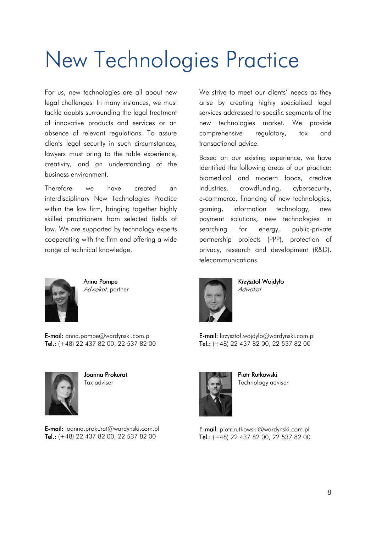## New Technologies Practice

For us, new technologies are all about new legal challenges. In many instances, we must tackle doubts surrounding the legal treatment of innovative products and services or an absence of relevant regulations. To assure clients legal security in such circumstances, lawyers must bring to the table experience, creativity, and an understanding of the business environment.

Therefore we have created an interdisciplinary New Technologies Practice within the law firm, bringing together highly skilled practitioners from selected fields of law. We are supported by technology experts cooperating with the firm and offering a wide range of technical knowledge.



Anna Pompe Adwokat, partner

E-mail: anna.pompe@wardynski.com.pl Tel.:  $(+48)$  22 437 82 00, 22 537 82 00



Joanna Prokurat Tax adviser

E-mail: joanna.prokurat@wardynski.com.pl Tel.:  $(+48)$  22 437 82 00, 22 537 82 00

We strive to meet our clients' needs as they arise by creating highly specialised legal services addressed to specific segments of the new technologies market. We provide comprehensive regulatory, tax and transactional advice.

Based on our existing experience, we have identified the following areas of our practice: biomedical and modern foods, creative industries, crowdfunding, cybersecurity, e-commerce, financing of new technologies, gaming, information technology, new payment solutions, new technologies in searching for energy, public-private partnership projects (PPP), protection of privacy, research and development (R&D), telecommunications.



Krzysztof Wojdyło Adwokat

E-mail: krzysztof.wojdylo@wardynski.com.pl Tel.:  $(+48)$  22 437 82 00, 22 537 82 00



Piotr Rutkowski Technology adviser

E-mail: piotr.rutkowski@wardynski.com.pl Tel.:  $(+48)$  22 437 82 00, 22 537 82 00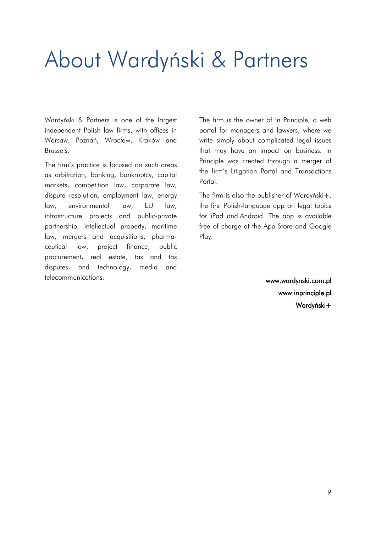### About Wardyński & Partners

Wardyński & Partners is one of the largest independent Polish law firms, with offices in Warsaw, Poznań, Wrocław, Kraków and Brussels.

The firm's practice is focused on such areas as arbitration, banking, bankruptcy, capital markets, competition law, corporate law, dispute resolution, employment law, energy law, environmental law, EU law, infrastructure projects and public-private partnership, intellectual property, maritime law, mergers and acquisitions, pharmaceutical law, project finance, public procurement, real estate, tax and tax disputes, and technology, media and telecommunications.

The firm is the owner of In Principle, a web portal for managers and lawyers, where we write simply about complicated legal issues that may have an impact on business. In Principle was created through a merger of the firm's Litigation Portal and Transactions Portal.

The firm is also the publisher of Wardyński $+$ , the first Polish-language app on legal topics for iPad and Android. The app is available free of charge at the App Store and Google Play.

> www.wardynski.com.pl www.wardynski.com.pl www.inprinciple.pl Wardyński+